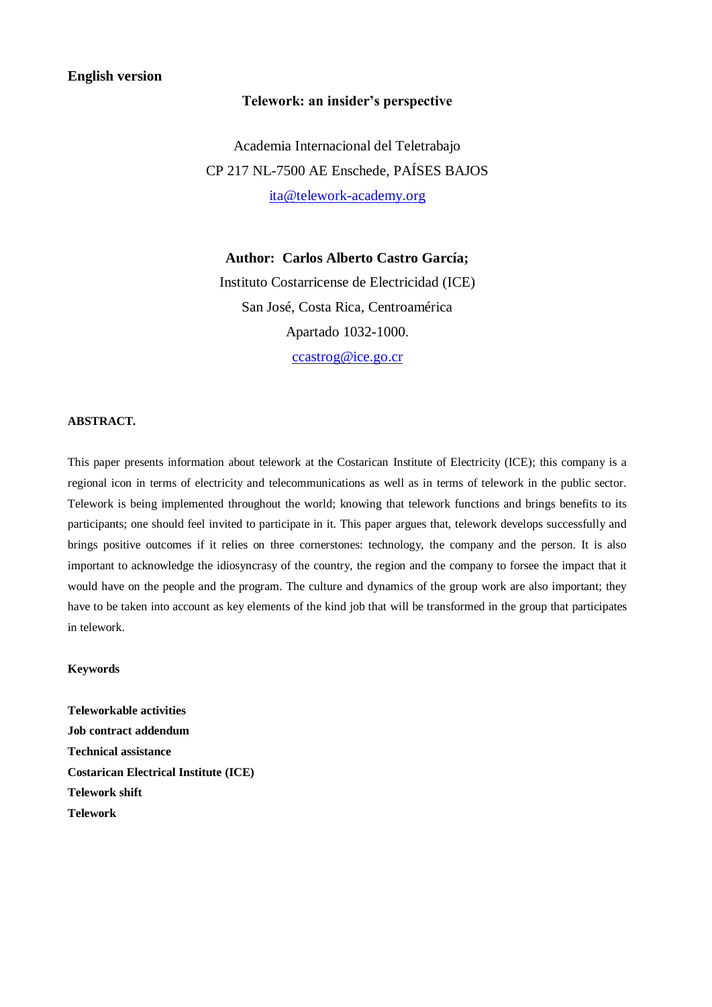# **English version**

# **Telework: an insider's perspective**

Academia Internacional del Teletrabajo CP 217 NL-7500 AE Enschede, PAÍSES BAJOS [ita@telework-academy.org](mailto:ita@telework-academy.org)

**Author: Carlos Alberto Castro García;** Instituto Costarricense de Electricidad (ICE) San José, Costa Rica, Centroamérica Apartado 1032-1000. [ccastrog@ice.go.cr](mailto:ccastrog@ice.go.cr)

# **ABSTRACT.**

This paper presents information about telework at the Costarican Institute of Electricity (ICE); this company is a regional icon in terms of electricity and telecommunications as well as in terms of telework in the public sector. Telework is being implemented throughout the world; knowing that telework functions and brings benefits to its participants; one should feel invited to participate in it. This paper argues that, telework develops successfully and brings positive outcomes if it relies on three cornerstones: technology, the company and the person. It is also important to acknowledge the idiosyncrasy of the country, the region and the company to forsee the impact that it would have on the people and the program. The culture and dynamics of the group work are also important; they have to be taken into account as key elements of the kind job that will be transformed in the group that participates in telework.

## **Keywords**

**Teleworkable activities Job contract addendum Technical assistance Costarican Electrical Institute (ICE) Telework shift Telework**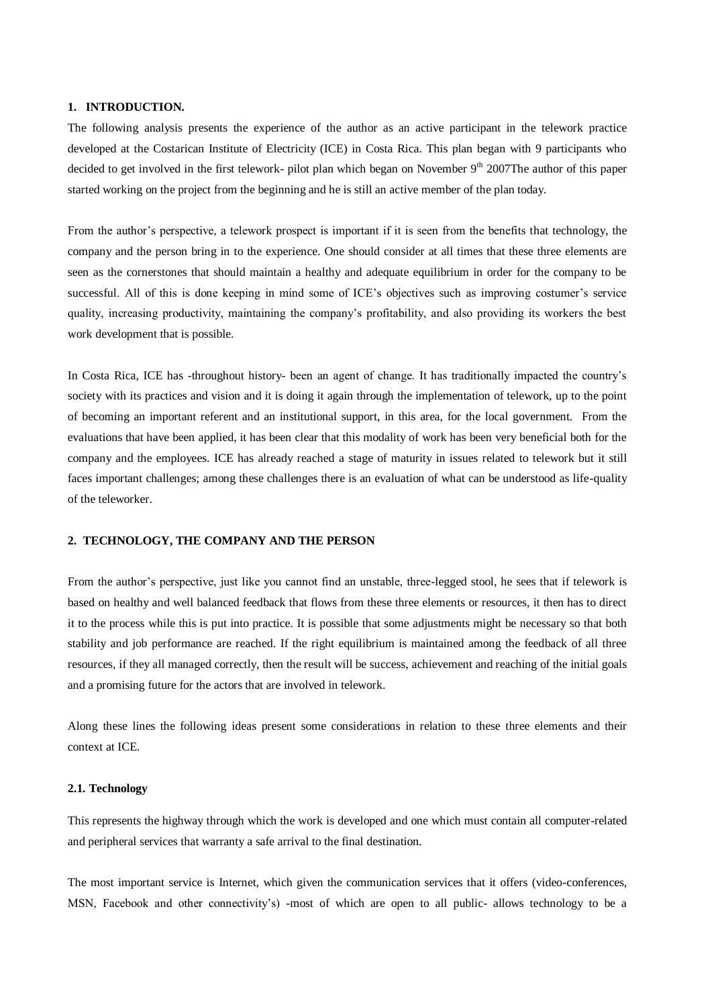#### **1. INTRODUCTION.**

The following analysis presents the experience of the author as an active participant in the telework practice developed at the Costarican Institute of Electricity (ICE) in Costa Rica. This plan began with 9 participants who decided to get involved in the first telework- pilot plan which began on November  $9<sup>th</sup>$  2007The author of this paper started working on the project from the beginning and he is still an active member of the plan today.

From the author's perspective, a telework prospect is important if it is seen from the benefits that technology, the company and the person bring in to the experience. One should consider at all times that these three elements are seen as the cornerstones that should maintain a healthy and adequate equilibrium in order for the company to be successful. All of this is done keeping in mind some of ICE's objectives such as improving costumer's service quality, increasing productivity, maintaining the company's profitability, and also providing its workers the best work development that is possible.

In Costa Rica, ICE has -throughout history- been an agent of change. It has traditionally impacted the country's society with its practices and vision and it is doing it again through the implementation of telework, up to the point of becoming an important referent and an institutional support, in this area, for the local government. From the evaluations that have been applied, it has been clear that this modality of work has been very beneficial both for the company and the employees. ICE has already reached a stage of maturity in issues related to telework but it still faces important challenges; among these challenges there is an evaluation of what can be understood as life-quality of the teleworker.

## **2. TECHNOLOGY, THE COMPANY AND THE PERSON**

From the author's perspective, just like you cannot find an unstable, three-legged stool, he sees that if telework is based on healthy and well balanced feedback that flows from these three elements or resources, it then has to direct it to the process while this is put into practice. It is possible that some adjustments might be necessary so that both stability and job performance are reached. If the right equilibrium is maintained among the feedback of all three resources, if they all managed correctly, then the result will be success, achievement and reaching of the initial goals and a promising future for the actors that are involved in telework.

Along these lines the following ideas present some considerations in relation to these three elements and their context at ICE.

#### **2.1. Technology**

This represents the highway through which the work is developed and one which must contain all computer-related and peripheral services that warranty a safe arrival to the final destination.

The most important service is Internet, which given the communication services that it offers (video-conferences, MSN, Facebook and other connectivity's) -most of which are open to all public- allows technology to be a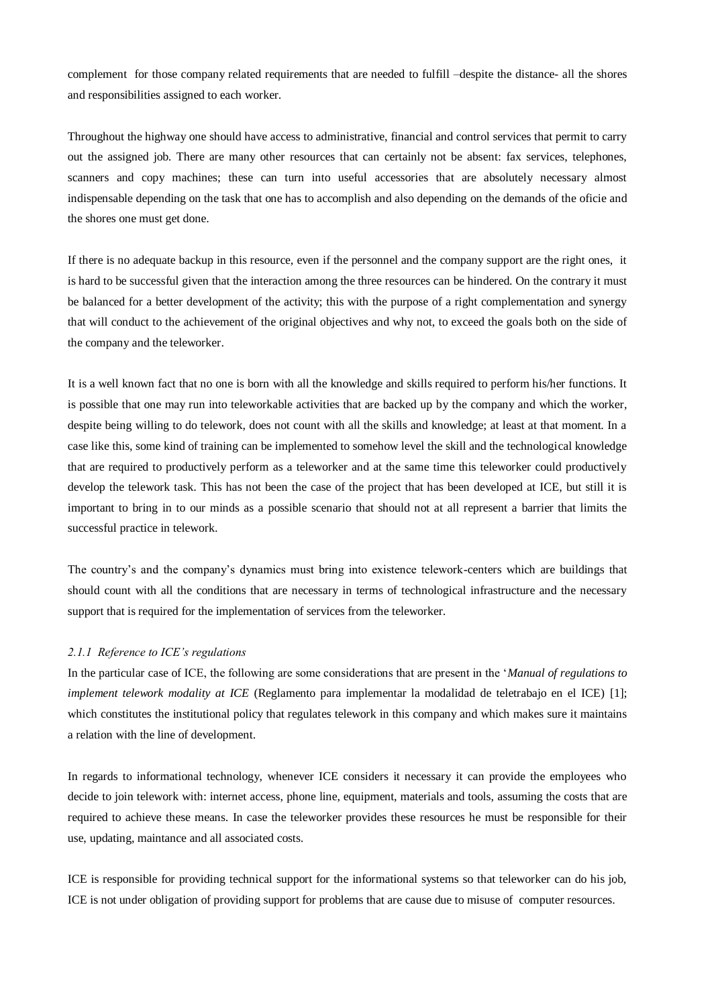complement for those company related requirements that are needed to fulfill –despite the distance- all the shores and responsibilities assigned to each worker.

Throughout the highway one should have access to administrative, financial and control services that permit to carry out the assigned job. There are many other resources that can certainly not be absent: fax services, telephones, scanners and copy machines; these can turn into useful accessories that are absolutely necessary almost indispensable depending on the task that one has to accomplish and also depending on the demands of the oficie and the shores one must get done.

If there is no adequate backup in this resource, even if the personnel and the company support are the right ones, it is hard to be successful given that the interaction among the three resources can be hindered. On the contrary it must be balanced for a better development of the activity; this with the purpose of a right complementation and synergy that will conduct to the achievement of the original objectives and why not, to exceed the goals both on the side of the company and the teleworker.

It is a well known fact that no one is born with all the knowledge and skills required to perform his/her functions. It is possible that one may run into teleworkable activities that are backed up by the company and which the worker, despite being willing to do telework, does not count with all the skills and knowledge; at least at that moment. In a case like this, some kind of training can be implemented to somehow level the skill and the technological knowledge that are required to productively perform as a teleworker and at the same time this teleworker could productively develop the telework task. This has not been the case of the project that has been developed at ICE, but still it is important to bring in to our minds as a possible scenario that should not at all represent a barrier that limits the successful practice in telework.

The country's and the company's dynamics must bring into existence telework-centers which are buildings that should count with all the conditions that are necessary in terms of technological infrastructure and the necessary support that is required for the implementation of services from the teleworker.

### *2.1.1 Reference to ICE's regulations*

In the particular case of ICE, the following are some considerations that are present in the '*Manual of regulations to implement telework modality at ICE* (Reglamento para implementar la modalidad de teletrabajo en el ICE) [1]; which constitutes the institutional policy that regulates telework in this company and which makes sure it maintains a relation with the line of development.

In regards to informational technology, whenever ICE considers it necessary it can provide the employees who decide to join telework with: internet access, phone line, equipment, materials and tools, assuming the costs that are required to achieve these means. In case the teleworker provides these resources he must be responsible for their use, updating, maintance and all associated costs.

ICE is responsible for providing technical support for the informational systems so that teleworker can do his job, ICE is not under obligation of providing support for problems that are cause due to misuse of computer resources.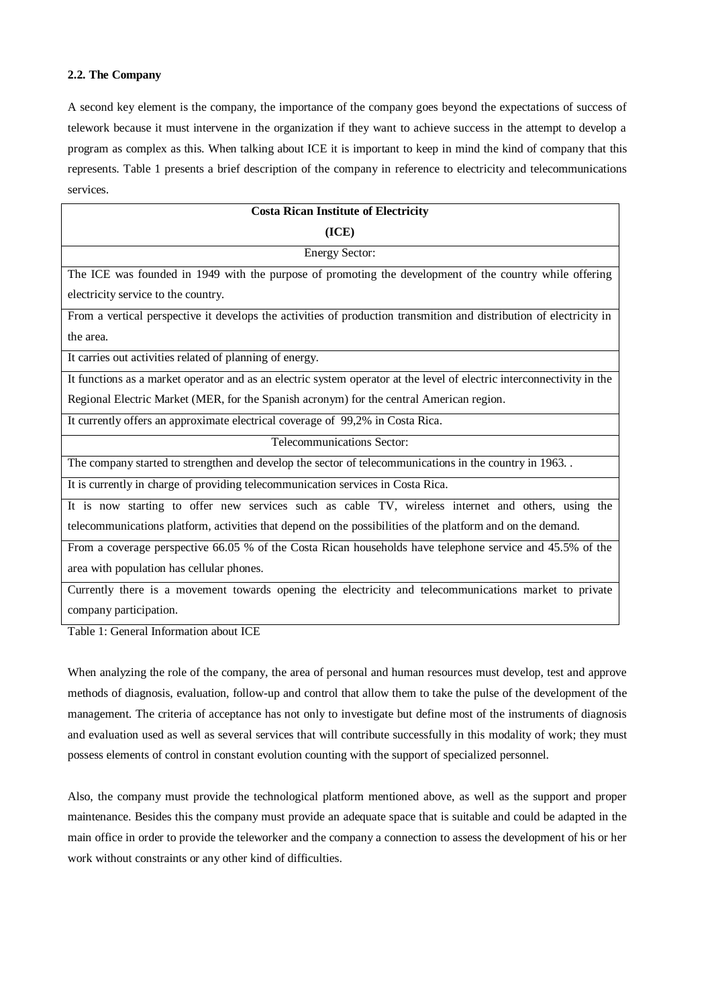## **2.2. The Company**

A second key element is the company, the importance of the company goes beyond the expectations of success of telework because it must intervene in the organization if they want to achieve success in the attempt to develop a program as complex as this. When talking about ICE it is important to keep in mind the kind of company that this represents. Table 1 presents a brief description of the company in reference to electricity and telecommunications services.

| <b>Costa Rican Institute of Electricity</b>                                                                            |  |
|------------------------------------------------------------------------------------------------------------------------|--|
| (ICE)                                                                                                                  |  |
| <b>Energy Sector:</b>                                                                                                  |  |
| The ICE was founded in 1949 with the purpose of promoting the development of the country while offering                |  |
| electricity service to the country.                                                                                    |  |
| From a vertical perspective it develops the activities of production transmition and distribution of electricity in    |  |
| the area.                                                                                                              |  |
| It carries out activities related of planning of energy.                                                               |  |
| It functions as a market operator and as an electric system operator at the level of electric interconnectivity in the |  |
| Regional Electric Market (MER, for the Spanish acronym) for the central American region.                               |  |
| It currently offers an approximate electrical coverage of 99,2% in Costa Rica.                                         |  |
| Telecommunications Sector:                                                                                             |  |
| The company started to strengthen and develop the sector of telecommunications in the country in 1963                  |  |
| It is currently in charge of providing telecommunication services in Costa Rica.                                       |  |
| It is now starting to offer new services such as cable TV, wireless internet and others, using the                     |  |
| telecommunications platform, activities that depend on the possibilities of the platform and on the demand.            |  |
| From a coverage perspective 66.05 % of the Costa Rican households have telephone service and 45.5% of the              |  |
| area with population has cellular phones.                                                                              |  |
| Currently there is a movement towards opening the electricity and telecommunications market to private                 |  |

company participation.

Table 1: General Information about ICE

When analyzing the role of the company, the area of personal and human resources must develop, test and approve methods of diagnosis, evaluation, follow-up and control that allow them to take the pulse of the development of the management. The criteria of acceptance has not only to investigate but define most of the instruments of diagnosis and evaluation used as well as several services that will contribute successfully in this modality of work; they must possess elements of control in constant evolution counting with the support of specialized personnel.

Also, the company must provide the technological platform mentioned above, as well as the support and proper maintenance. Besides this the company must provide an adequate space that is suitable and could be adapted in the main office in order to provide the teleworker and the company a connection to assess the development of his or her work without constraints or any other kind of difficulties.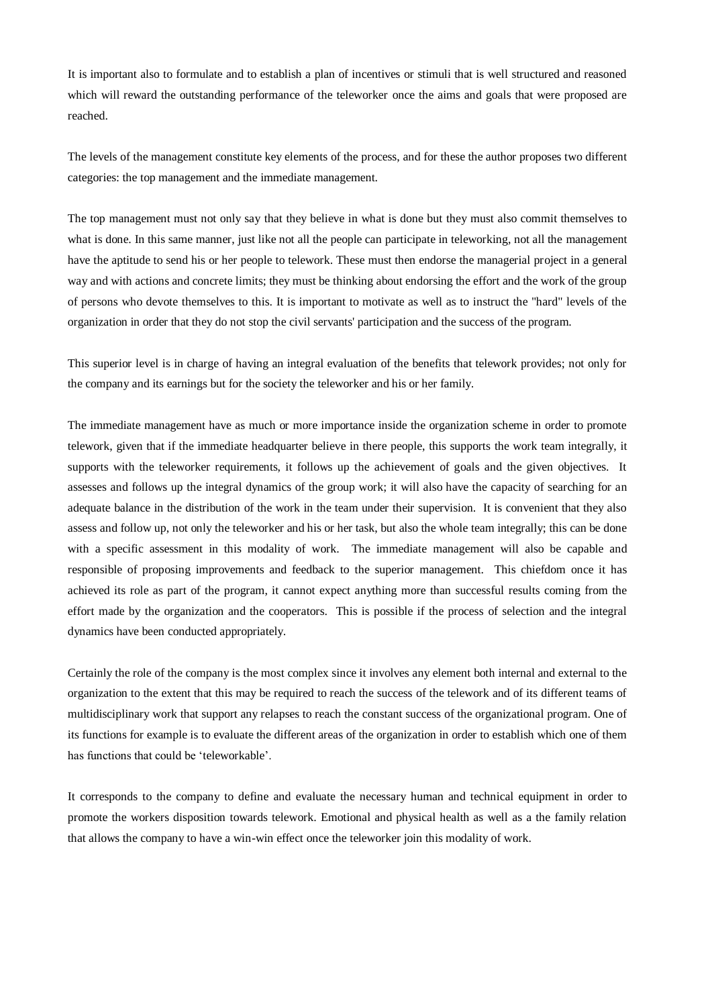It is important also to formulate and to establish a plan of incentives or stimuli that is well structured and reasoned which will reward the outstanding performance of the teleworker once the aims and goals that were proposed are reached.

The levels of the management constitute key elements of the process, and for these the author proposes two different categories: the top management and the immediate management.

The top management must not only say that they believe in what is done but they must also commit themselves to what is done. In this same manner, just like not all the people can participate in teleworking, not all the management have the aptitude to send his or her people to telework. These must then endorse the managerial project in a general way and with actions and concrete limits; they must be thinking about endorsing the effort and the work of the group of persons who devote themselves to this. It is important to motivate as well as to instruct the "hard" levels of the organization in order that they do not stop the civil servants' participation and the success of the program.

This superior level is in charge of having an integral evaluation of the benefits that telework provides; not only for the company and its earnings but for the society the teleworker and his or her family.

The immediate management have as much or more importance inside the organization scheme in order to promote telework, given that if the immediate headquarter believe in there people, this supports the work team integrally, it supports with the teleworker requirements, it follows up the achievement of goals and the given objectives. It assesses and follows up the integral dynamics of the group work; it will also have the capacity of searching for an adequate balance in the distribution of the work in the team under their supervision. It is convenient that they also assess and follow up, not only the teleworker and his or her task, but also the whole team integrally; this can be done with a specific assessment in this modality of work. The immediate management will also be capable and responsible of proposing improvements and feedback to the superior management. This chiefdom once it has achieved its role as part of the program, it cannot expect anything more than successful results coming from the effort made by the organization and the cooperators. This is possible if the process of selection and the integral dynamics have been conducted appropriately.

Certainly the role of the company is the most complex since it involves any element both internal and external to the organization to the extent that this may be required to reach the success of the telework and of its different teams of multidisciplinary work that support any relapses to reach the constant success of the organizational program. One of its functions for example is to evaluate the different areas of the organization in order to establish which one of them has functions that could be 'teleworkable'.

It corresponds to the company to define and evaluate the necessary human and technical equipment in order to promote the workers disposition towards telework. Emotional and physical health as well as a the family relation that allows the company to have a win-win effect once the teleworker join this modality of work.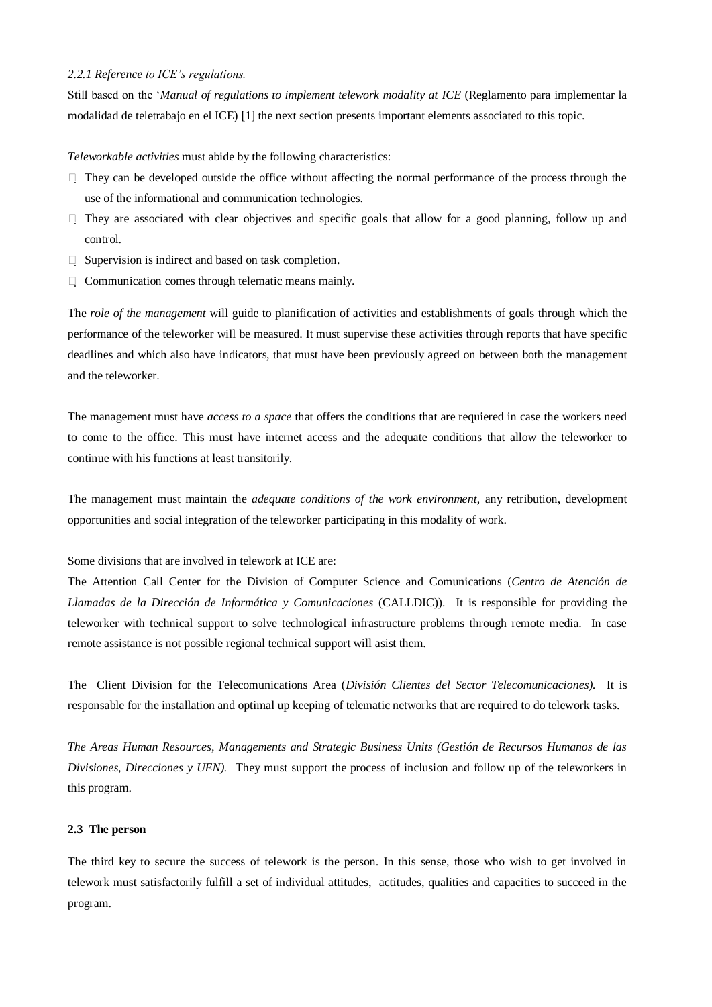## *2.2.1 Reference to ICE's regulations.*

Still based on the '*Manual of regulations to implement telework modality at ICE* (Reglamento para implementar la modalidad de teletrabajo en el ICE) [1] the next section presents important elements associated to this topic.

*Teleworkable activities* must abide by the following characteristics:

- $\Box$  They can be developed outside the office without affecting the normal performance of the process through the use of the informational and communication technologies.
- $\Box$  They are associated with clear objectives and specific goals that allow for a good planning, follow up and control.
- $\Box$  Supervision is indirect and based on task completion.
- $\Box$  Communication comes through telematic means mainly.

The *role of the management* will guide to planification of activities and establishments of goals through which the performance of the teleworker will be measured. It must supervise these activities through reports that have specific deadlines and which also have indicators, that must have been previously agreed on between both the management and the teleworker.

The management must have *access to a space* that offers the conditions that are requiered in case the workers need to come to the office. This must have internet access and the adequate conditions that allow the teleworker to continue with his functions at least transitorily.

The management must maintain the *adequate conditions of the work environment*, any retribution, development opportunities and social integration of the teleworker participating in this modality of work.

Some divisions that are involved in telework at ICE are:

The Attention Call Center for the Division of Computer Science and Comunications (*Centro de Atención de Llamadas de la Dirección de Informática y Comunicaciones* (CALLDIC)). It is responsible for providing the teleworker with technical support to solve technological infrastructure problems through remote media. In case remote assistance is not possible regional technical support will asist them.

The Client Division for the Telecomunications Area (*División Clientes del Sector Telecomunicaciones).* It is responsable for the installation and optimal up keeping of telematic networks that are required to do telework tasks.

*The Areas Human Resources, Managements and Strategic Business Units (Gestión de Recursos Humanos de las Divisiones, Direcciones y UEN*). They must support the process of inclusion and follow up of the teleworkers in this program.

### **2.3 The person**

The third key to secure the success of telework is the person. In this sense, those who wish to get involved in telework must satisfactorily fulfill a set of individual attitudes, actitudes, qualities and capacities to succeed in the program.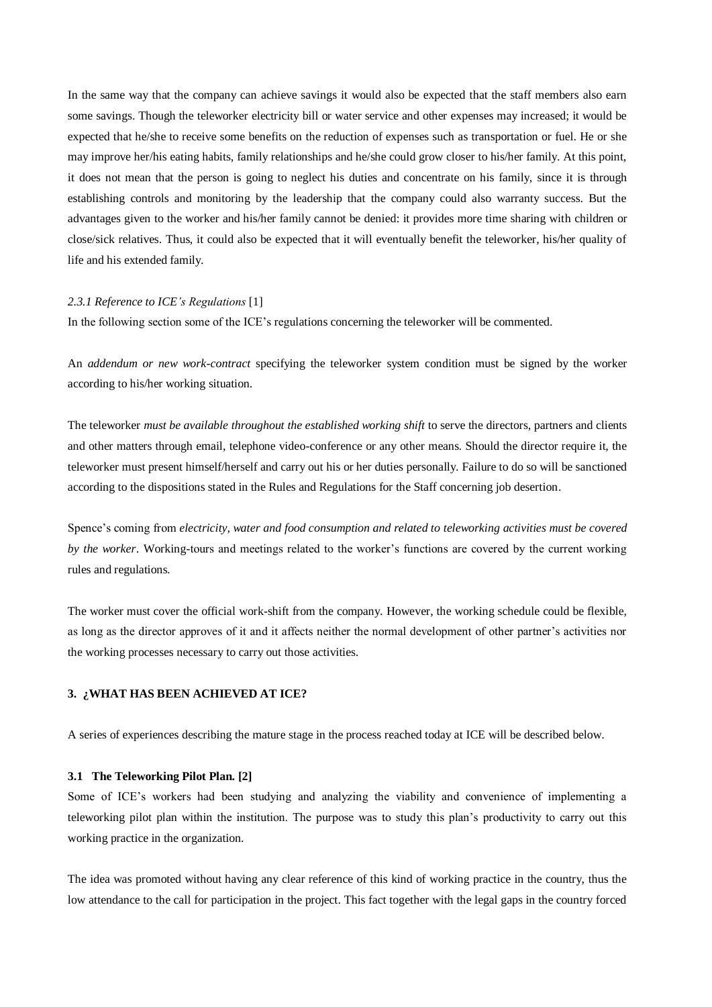In the same way that the company can achieve savings it would also be expected that the staff members also earn some savings. Though the teleworker electricity bill or water service and other expenses may increased; it would be expected that he/she to receive some benefits on the reduction of expenses such as transportation or fuel. He or she may improve her/his eating habits, family relationships and he/she could grow closer to his/her family. At this point, it does not mean that the person is going to neglect his duties and concentrate on his family, since it is through establishing controls and monitoring by the leadership that the company could also warranty success. But the advantages given to the worker and his/her family cannot be denied: it provides more time sharing with children or close/sick relatives. Thus, it could also be expected that it will eventually benefit the teleworker, his/her quality of life and his extended family.

### *2.3.1 Reference to ICE's Regulations* [1]

In the following section some of the ICE's regulations concerning the teleworker will be commented.

An *addendum or new work-contract* specifying the teleworker system condition must be signed by the worker according to his/her working situation.

The teleworker *must be available throughout the established working shift* to serve the directors, partners and clients and other matters through email, telephone video-conference or any other means. Should the director require it, the teleworker must present himself/herself and carry out his or her duties personally. Failure to do so will be sanctioned according to the dispositions stated in the Rules and Regulations for the Staff concerning job desertion.

Spence's coming from *electricity, water and food consumption and related to teleworking activities must be covered by the worker*. Working-tours and meetings related to the worker's functions are covered by the current working rules and regulations.

The worker must cover the official work-shift from the company. However, the working schedule could be flexible, as long as the director approves of it and it affects neither the normal development of other partner's activities nor the working processes necessary to carry out those activities.

## **3. ¿WHAT HAS BEEN ACHIEVED AT ICE?**

A series of experiences describing the mature stage in the process reached today at ICE will be described below.

#### **3.1 The Teleworking Pilot Plan. [2]**

Some of ICE's workers had been studying and analyzing the viability and convenience of implementing a teleworking pilot plan within the institution. The purpose was to study this plan's productivity to carry out this working practice in the organization.

The idea was promoted without having any clear reference of this kind of working practice in the country, thus the low attendance to the call for participation in the project. This fact together with the legal gaps in the country forced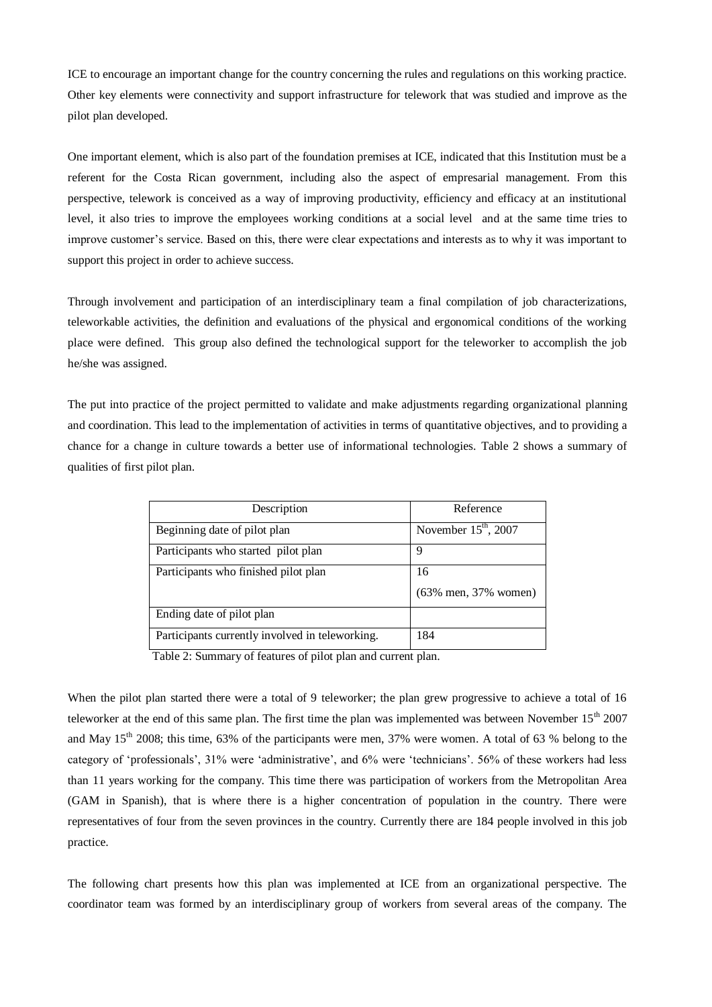ICE to encourage an important change for the country concerning the rules and regulations on this working practice. Other key elements were connectivity and support infrastructure for telework that was studied and improve as the pilot plan developed.

One important element, which is also part of the foundation premises at ICE, indicated that this Institution must be a referent for the Costa Rican government, including also the aspect of empresarial management. From this perspective, telework is conceived as a way of improving productivity, efficiency and efficacy at an institutional level, it also tries to improve the employees working conditions at a social level and at the same time tries to improve customer's service. Based on this, there were clear expectations and interests as to why it was important to support this project in order to achieve success.

Through involvement and participation of an interdisciplinary team a final compilation of job characterizations, teleworkable activities, the definition and evaluations of the physical and ergonomical conditions of the working place were defined. This group also defined the technological support for the teleworker to accomplish the job he/she was assigned.

The put into practice of the project permitted to validate and make adjustments regarding organizational planning and coordination. This lead to the implementation of activities in terms of quantitative objectives, and to providing a chance for a change in culture towards a better use of informational technologies. Table 2 shows a summary of qualities of first pilot plan.

| Description                                     | Reference                |
|-------------------------------------------------|--------------------------|
| Beginning date of pilot plan                    | November $15th$ , $2007$ |
| Participants who started pilot plan             | 9                        |
| Participants who finished pilot plan            | 16                       |
|                                                 | (63% men, 37% women)     |
| Ending date of pilot plan                       |                          |
| Participants currently involved in teleworking. | 184                      |

Table 2: Summary of features of pilot plan and current plan.

When the pilot plan started there were a total of 9 teleworker; the plan grew progressive to achieve a total of 16 teleworker at the end of this same plan. The first time the plan was implemented was between November 15<sup>th</sup> 2007 and May 15<sup>th</sup> 2008; this time, 63% of the participants were men, 37% were women. A total of 63 % belong to the category of 'professionals', 31% were 'administrative', and 6% were 'technicians'. 56% of these workers had less than 11 years working for the company. This time there was participation of workers from the Metropolitan Area (GAM in Spanish), that is where there is a higher concentration of population in the country. There were representatives of four from the seven provinces in the country. Currently there are 184 people involved in this job practice.

The following chart presents how this plan was implemented at ICE from an organizational perspective. The coordinator team was formed by an interdisciplinary group of workers from several areas of the company. The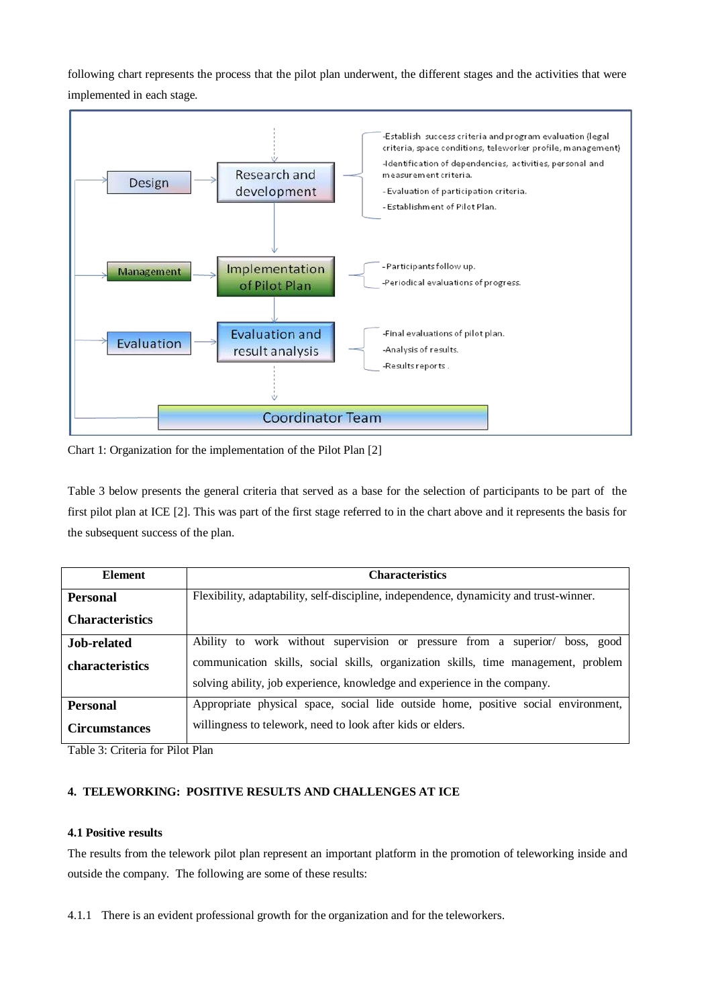following chart represents the process that the pilot plan underwent, the different stages and the activities that were implemented in each stage.



Chart 1: Organization for the implementation of the Pilot Plan [2]

Table 3 below presents the general criteria that served as a base for the selection of participants to be part of the first pilot plan at ICE [2]. This was part of the first stage referred to in the chart above and it represents the basis for the subsequent success of the plan.

| <b>Element</b>         | <b>Characteristics</b>                                                                 |  |
|------------------------|----------------------------------------------------------------------------------------|--|
| <b>Personal</b>        | Flexibility, adaptability, self-discipline, independence, dynamicity and trust-winner. |  |
| <b>Characteristics</b> |                                                                                        |  |
| Job-related            | Ability to work without supervision or pressure from a superior/ boss, good            |  |
| <b>characteristics</b> | communication skills, social skills, organization skills, time management, problem     |  |
|                        | solving ability, job experience, knowledge and experience in the company.              |  |
| <b>Personal</b>        | Appropriate physical space, social lide outside home, positive social environment,     |  |
| <b>Circumstances</b>   | willingness to telework, need to look after kids or elders.                            |  |

Table 3: Criteria for Pilot Plan

# **4. TELEWORKING: POSITIVE RESULTS AND CHALLENGES AT ICE**

## **4.1 Positive results**

The results from the telework pilot plan represent an important platform in the promotion of teleworking inside and outside the company. The following are some of these results:

4.1.1 There is an evident professional growth for the organization and for the teleworkers.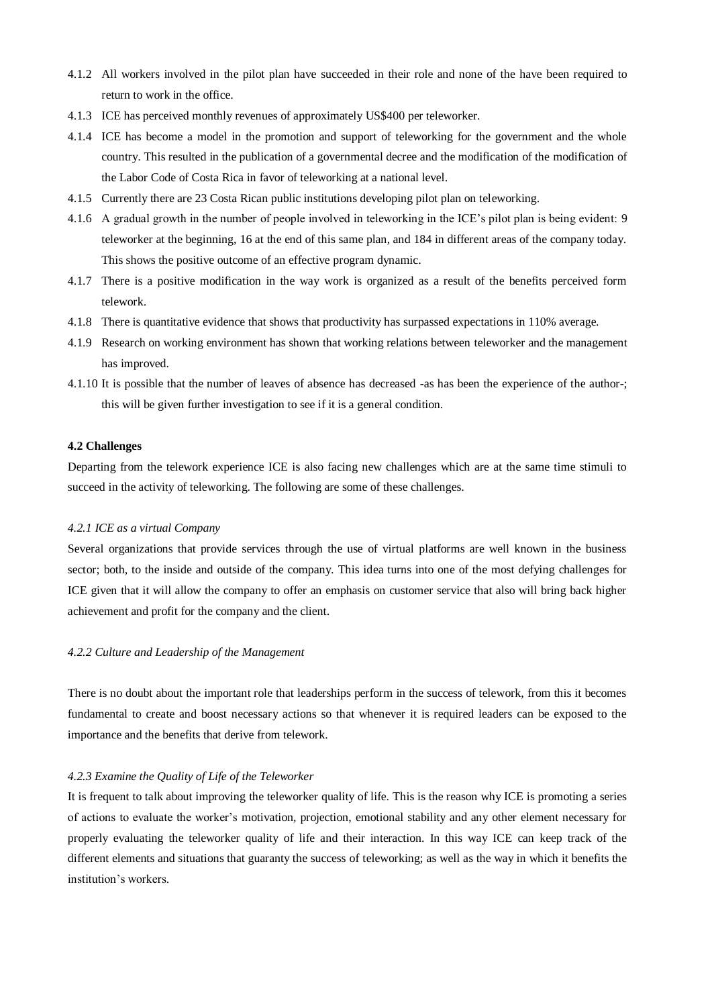- 4.1.2 All workers involved in the pilot plan have succeeded in their role and none of the have been required to return to work in the office.
- 4.1.3 ICE has perceived monthly revenues of approximately US\$400 per teleworker.
- 4.1.4 ICE has become a model in the promotion and support of teleworking for the government and the whole country. This resulted in the publication of a governmental decree and the modification of the modification of the Labor Code of Costa Rica in favor of teleworking at a national level.
- 4.1.5 Currently there are 23 Costa Rican public institutions developing pilot plan on teleworking.
- 4.1.6 A gradual growth in the number of people involved in teleworking in the ICE's pilot plan is being evident: 9 teleworker at the beginning, 16 at the end of this same plan, and 184 in different areas of the company today. This shows the positive outcome of an effective program dynamic.
- 4.1.7 There is a positive modification in the way work is organized as a result of the benefits perceived form telework.
- 4.1.8 There is quantitative evidence that shows that productivity has surpassed expectations in 110% average.
- 4.1.9 Research on working environment has shown that working relations between teleworker and the management has improved.
- 4.1.10 It is possible that the number of leaves of absence has decreased -as has been the experience of the author-; this will be given further investigation to see if it is a general condition.

### **4.2 Challenges**

Departing from the telework experience ICE is also facing new challenges which are at the same time stimuli to succeed in the activity of teleworking. The following are some of these challenges.

## *4.2.1 ICE as a virtual Company*

Several organizations that provide services through the use of virtual platforms are well known in the business sector; both, to the inside and outside of the company. This idea turns into one of the most defying challenges for ICE given that it will allow the company to offer an emphasis on customer service that also will bring back higher achievement and profit for the company and the client.

# *4.2.2 Culture and Leadership of the Management*

There is no doubt about the important role that leaderships perform in the success of telework, from this it becomes fundamental to create and boost necessary actions so that whenever it is required leaders can be exposed to the importance and the benefits that derive from telework.

#### *4.2.3 Examine the Quality of Life of the Teleworker*

It is frequent to talk about improving the teleworker quality of life. This is the reason why ICE is promoting a series of actions to evaluate the worker's motivation, projection, emotional stability and any other element necessary for properly evaluating the teleworker quality of life and their interaction. In this way ICE can keep track of the different elements and situations that guaranty the success of teleworking; as well as the way in which it benefits the institution's workers.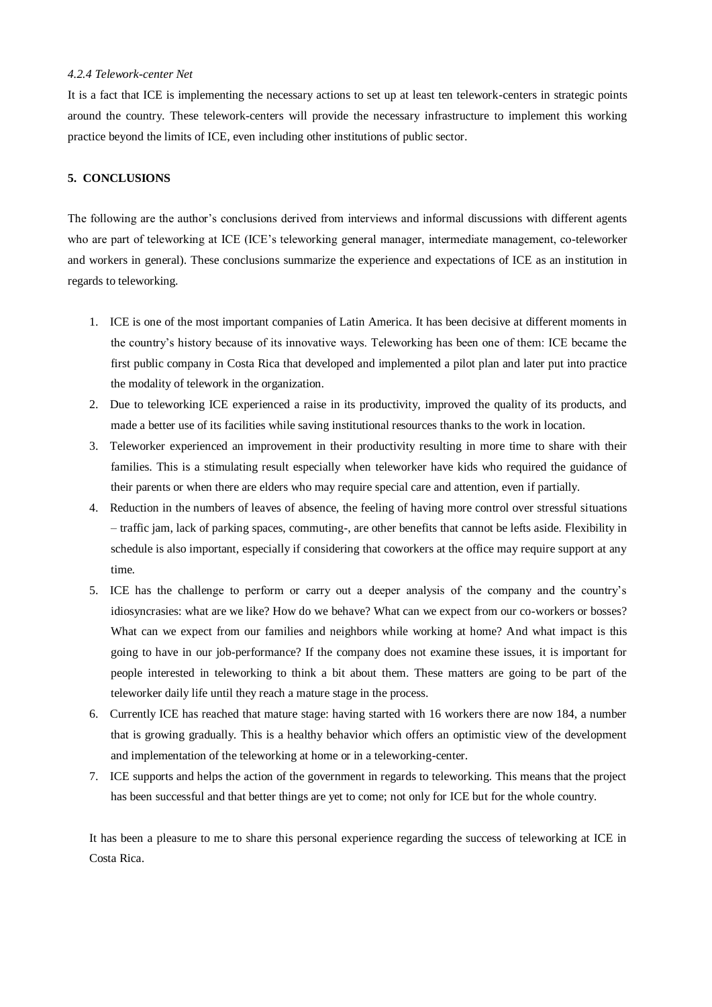## *4.2.4 Telework-center Net*

It is a fact that ICE is implementing the necessary actions to set up at least ten telework-centers in strategic points around the country. These telework-centers will provide the necessary infrastructure to implement this working practice beyond the limits of ICE, even including other institutions of public sector.

## **5. CONCLUSIONS**

The following are the author's conclusions derived from interviews and informal discussions with different agents who are part of teleworking at ICE (ICE's teleworking general manager, intermediate management, co-teleworker and workers in general). These conclusions summarize the experience and expectations of ICE as an institution in regards to teleworking.

- 1. ICE is one of the most important companies of Latin America. It has been decisive at different moments in the country's history because of its innovative ways. Teleworking has been one of them: ICE became the first public company in Costa Rica that developed and implemented a pilot plan and later put into practice the modality of telework in the organization.
- 2. Due to teleworking ICE experienced a raise in its productivity, improved the quality of its products, and made a better use of its facilities while saving institutional resources thanks to the work in location.
- 3. Teleworker experienced an improvement in their productivity resulting in more time to share with their families. This is a stimulating result especially when teleworker have kids who required the guidance of their parents or when there are elders who may require special care and attention, even if partially.
- 4. Reduction in the numbers of leaves of absence, the feeling of having more control over stressful situations – traffic jam, lack of parking spaces, commuting-, are other benefits that cannot be lefts aside. Flexibility in schedule is also important, especially if considering that coworkers at the office may require support at any time.
- 5. ICE has the challenge to perform or carry out a deeper analysis of the company and the country's idiosyncrasies: what are we like? How do we behave? What can we expect from our co-workers or bosses? What can we expect from our families and neighbors while working at home? And what impact is this going to have in our job-performance? If the company does not examine these issues, it is important for people interested in teleworking to think a bit about them. These matters are going to be part of the teleworker daily life until they reach a mature stage in the process.
- 6. Currently ICE has reached that mature stage: having started with 16 workers there are now 184, a number that is growing gradually. This is a healthy behavior which offers an optimistic view of the development and implementation of the teleworking at home or in a teleworking-center.
- 7. ICE supports and helps the action of the government in regards to teleworking. This means that the project has been successful and that better things are yet to come; not only for ICE but for the whole country.

It has been a pleasure to me to share this personal experience regarding the success of teleworking at ICE in Costa Rica.